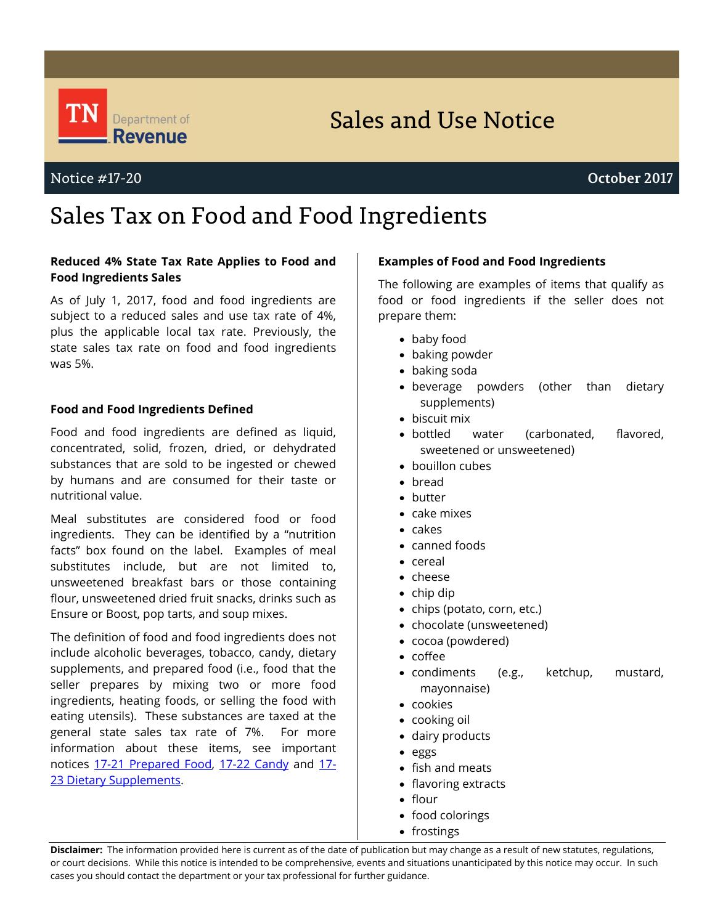

# Sales and Use Notice

# Sales Tax on Food and Food Ingredients

### **Reduced 4% State Tax Rate Applies to Food and Food Ingredients Sales**

As of July 1, 2017, food and food ingredients are subject to a reduced sales and use tax rate of 4%, plus the applicable local tax rate. Previously, the state sales tax rate on food and food ingredients was 5%.

### **Food and Food Ingredients Defined**

Food and food ingredients are defined as liquid, concentrated, solid, frozen, dried, or dehydrated substances that are sold to be ingested or chewed by humans and are consumed for their taste or nutritional value.

Meal substitutes are considered food or food ingredients. They can be identified by a "nutrition facts" box found on the label. Examples of meal substitutes include, but are not limited to, unsweetened breakfast bars or those containing flour, unsweetened dried fruit snacks, drinks such as Ensure or Boost, pop tarts, and soup mixes.

The definition of food and food ingredients does not include alcoholic beverages, tobacco, candy, dietary supplements, and prepared food (i.e., food that the seller prepares by mixing two or more food ingredients, heating foods, or selling the food with eating utensils). These substances are taxed at the general state sales tax rate of 7%. For more information about these items, see important notices [17-21 Prepared Food,](https://tn.gov/content/dam/tn/revenue/documents/notices/sales/sales17-21.pdf) [17-22 Candy](https://tn.gov/content/dam/tn/revenue/documents/notices/sales/sales17-22.pdf) and [17-](https://tn.gov/content/dam/tn/revenue/documents/notices/sales/sales17-23.pdf) 23 [Dietary Supplements.](https://tn.gov/content/dam/tn/revenue/documents/notices/sales/sales17-23.pdf)

#### **Examples of Food and Food Ingredients**

The following are examples of items that qualify as food or food ingredients if the seller does not prepare them:

- baby food
- baking powder
- baking soda
- beverage powders (other than dietary supplements)
- biscuit mix
- bottled water (carbonated, flavored, sweetened or unsweetened)
- bouillon cubes
- bread
- butter
- cake mixes
- cakes
- canned foods
- cereal
- cheese
- chip dip
- chips (potato, corn, etc.)
- chocolate (unsweetened)
- cocoa (powdered)
- coffee
- condiments (e.g., ketchup, mustard, mayonnaise)
- cookies
- cooking oil
- dairy products
- eggs
- fish and meats
- flavoring extracts
- flour
- food colorings
- frostings

**Disclaimer:** The information provided here is current as of the date of publication but may change as a result of new statutes, regulations, or court decisions. While this notice is intended to be comprehensive, events and situations unanticipated by this notice may occur. In such cases you should contact the department or your tax professional for further guidance.